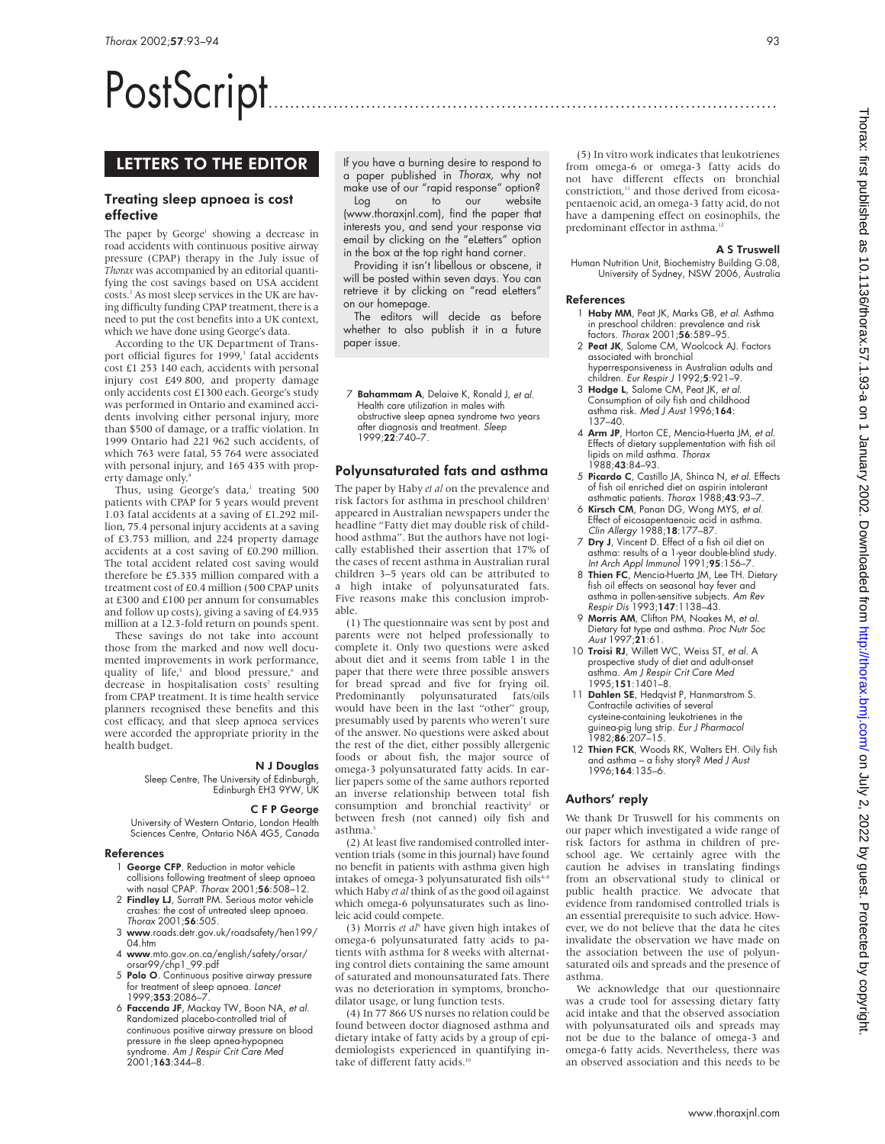# PostScript..............................................................................................

# LETTERS TO THE EDITOR

## Treating sleep apnoea is cost effective

The paper by George<sup>1</sup> showing a decrease in road accidents with continuous positive airway pressure (CPAP) therapy in the July issue of *Thorax* was accompanied by an editorial quantifying the cost savings based on USA accident costs.2 As most sleep services in the UK are having difficulty funding CPAP treatment, there is a need to put the cost benefits into a UK context, which we have done using George's data.

According to the UK Department of Transport official figures for 1999,<sup>3</sup> fatal accidents cost £1 253 140 each, accidents with personal injury cost £49 800, and property damage only accidents cost £1300 each. George's study was performed in Ontario and examined accidents involving either personal injury, more than \$500 of damage, or a traffic violation. In 1999 Ontario had 221 962 such accidents, of which 763 were fatal, 55 764 were associated with personal injury, and 165 435 with property damage only.4

Thus, using George's data, $^1$  treating 500 patients with CPAP for 5 years would prevent 1.03 fatal accidents at a saving of £1.292 million, 75.4 personal injury accidents at a saving of £3.753 million, and 224 property damage accidents at a cost saving of £0.290 million. The total accident related cost saving would therefore be £5.335 million compared with a treatment cost of £0.4 million (500 CPAP units at £300 and £100 per annum for consumables and follow up costs), giving a saving of £4.935 million at a 12.3-fold return on pounds spent.

These savings do not take into account those from the marked and now well documented improvements in work performance, quality of life,<sup>5</sup> and blood pressure,<sup>6</sup> and decrease in hospitalisation costs<sup>7</sup> resulting from CPAP treatment. It is time health service planners recognised these benefits and this cost efficacy, and that sleep apnoea services were accorded the appropriate priority in the health budget.

#### N J Douglas

Sleep Centre, The University of Edinburgh, Edinburgh EH3 9YW, UK

## C F P George

University of Western Ontario, London Health Sciences Centre, Ontario N6A 4G5, Canada

## References

- 1 George CFP. Reduction in motor vehicle collisions following treatment of sleep apnoea with nasal CPAP. Thorax 2001;56:508–12.
- 2 Findley LJ, Surratt PM. Serious motor vehicle crashes: the cost of untreated sleep apnoea. Thorax 2001;56:505.
- 3 www.roads.detr.gov.uk/roadsafety/hen199/  $04$  htm
- 4 www.mto.gov.on.ca/english/safety/orsar/ orsar99/chp1\_99.pdf
- 5 Polo O. Continuous positive airway pressure for treatment of sleep apnoea. Lancet 1999;353:2086–7.
- 6 Faccenda JF, Mackay TW, Boon NA, et al. Randomized placebo-controlled trial of continuous positive airway pressure on blood pressure in the sleep apnea-hypopnea syndrome. Am J Respir Crit Care Med 2001;163:344–8.

If you have a burning desire to respond to a paper published in Thorax, why not make use of our "rapid response" option?<br>Log on to our website on to our website (www.thoraxjnl.com), find the paper that interests you, and send your response via email by clicking on the "eLetters" option in the box at the top right hand corner.

Providing it isn't libellous or obscene, it will be posted within seven days. You can retrieve it by clicking on "read eLetters" on our homepage.

The editors will decide as before whether to also publish it in a future paper issue.

7 Bahammam A, Delaive K, Ronald J, et al. Health care utilization in males with obstructive sleep apnea syndrome two years after diagnosis and treatment. Sleep 1999;22:740–7.

## Polyunsaturated fats and asthma

The paper by Haby *et al* on the prevalence and risk factors for asthma in preschool children<sup>1</sup> appeared in Australian newspapers under the headline "Fatty diet may double risk of childhood asthma". But the authors have not logically established their assertion that 17% of the cases of recent asthma in Australian rural children 3–5 years old can be attributed to a high intake of polyunsaturated fats. Five reasons make this conclusion improbable.

(1) The questionnaire was sent by post and parents were not helped professionally to complete it. Only two questions were asked about diet and it seems from table 1 in the paper that there were three possible answers for bread spread and five for frying oil. Predominantly polyunsaturated fats/oils would have been in the last "other" group, presumably used by parents who weren't sure of the answer. No questions were asked about the rest of the diet, either possibly allergenic foods or about fish, the major source of omega-3 polyunsaturated fatty acids. In earlier papers some of the same authors reported an inverse relationship between total fish consumption and bronchial reactivity<sup>2</sup> or between fresh (not canned) oily fish and asthma.

(2) At least five randomised controlled intervention trials (some in this journal) have found no benefit in patients with asthma given high intakes of omega-3 polyunsaturated fish oils<sup>4-8</sup> which Haby *et al* think of as the good oil against which omega-6 polyunsaturates such as linoleic acid could compete.

(3) Morris *et al*<sup>9</sup> have given high intakes of omega-6 polyunsaturated fatty acids to patients with asthma for 8 weeks with alternating control diets containing the same amount of saturated and monounsaturated fats. There was no deterioration in symptoms, bronchodilator usage, or lung function tests.

(4) In 77 866 US nurses no relation could be found between doctor diagnosed asthma and dietary intake of fatty acids by a group of epidemiologists experienced in quantifying intake of different fatty acids.<sup>10</sup>

(5) In vitro work indicates that leukotrienes from omega-6 or omega-3 fatty acids do not have different effects on bronchial constriction,<sup>11</sup> and those derived from eicosapentaenoic acid, an omega-3 fatty acid, do not have a dampening effect on eosinophils, the predominant effector in asthma.<sup>12</sup>

#### A S Truswell

Human Nutrition Unit, Biochemistry Building G.08, University of Sydney, NSW 2006, Australia

## References

- 1 Haby MM, Peat JK, Marks GB, et al. Asthma in preschool children: prevalence and risk factors. Thorax 2001;56:589–95.
- 2 Peat JK, Salome CM, Woolcock AJ. Factors associated with bronchial hyperresponsiveness in Australian adults and children. Eur Respir J 1992;5:921–9.
- 3 Hodge L, Salome CM, Peat JK, et al. Consumption of oily fish and childhood asthma risk. Med J Aust 1996;164: 137–40.
- 4 Arm JP, Horton CE, Mencia-Huerta JM, et al. Effects of dietary supplementation with fish oil<br>lipids on mild asthma. *Thorax* 1988;43:84–93.
- 5 Picardo C, Castillo JA, Shinca N, et al. Effects of fish oil enriched diet on aspirin intolerant
- asthmatic patients. Thorax 1988;43:93–7. 6 Kirsch CM, Panan DG, Wong MYS, et al. Effect of eicosapentaenoic acid in asthma. Clin Allergy 1988;18:177–87.
- 7 Dry J, Vincent D. Effect of a fish oil diet on asthma: results of a 1-year double-blind study. Int Arch Appl Immunol 1991;95:156–7.
- 8 Thien FC, Mencia-Huerta JM, Lee TH. Dietary fish oil effects on seasonal hay fever and asthma in pollen-sensitive subjects. *Am Rev*<br>*Respir Dis* 1993;**147**:1138–43.
- 9 Morris AM, Clifton PM, Noakes M, et al. Dietary fat type and asthma. Proc Nutr Soc A*ust* 1997;**21**:61.
- 10 Troisi RJ, Willett WC, Weiss ST, et al. A prospective study of diet and adult-onset asthma. Am J Respir Crit Care Med 1995;151:1401–8.
- 11 Dahlen SE, Hedqvist P, Hanmarstrom S. Contractile activities of several cysteine-containing leukotrienes in the guinea-pig lung strip. *Eur J Pharmacol*<br>1982;**86**:207–15.
- 12 Thien FCK, Woods RK, Walters EH. Oily fish and asthma – a fishy story? Med J Aust 1996;164:135–6.

## Authors' reply

We thank Dr Truswell for his comments on our paper which investigated a wide range of risk factors for asthma in children of preschool age. We certainly agree with the caution he advises in translating findings from an observational study to clinical or public health practice. We advocate that evidence from randomised controlled trials is an essential prerequisite to such advice. However, we do not believe that the data he cites invalidate the observation we have made on the association between the use of polyunsaturated oils and spreads and the presence of asthma.

We acknowledge that our questionnaire was a crude tool for assessing dietary fatty acid intake and that the observed association with polyunsaturated oils and spreads may not be due to the balance of omega-3 and omega-6 fatty acids. Nevertheless, there was an observed association and this needs to be